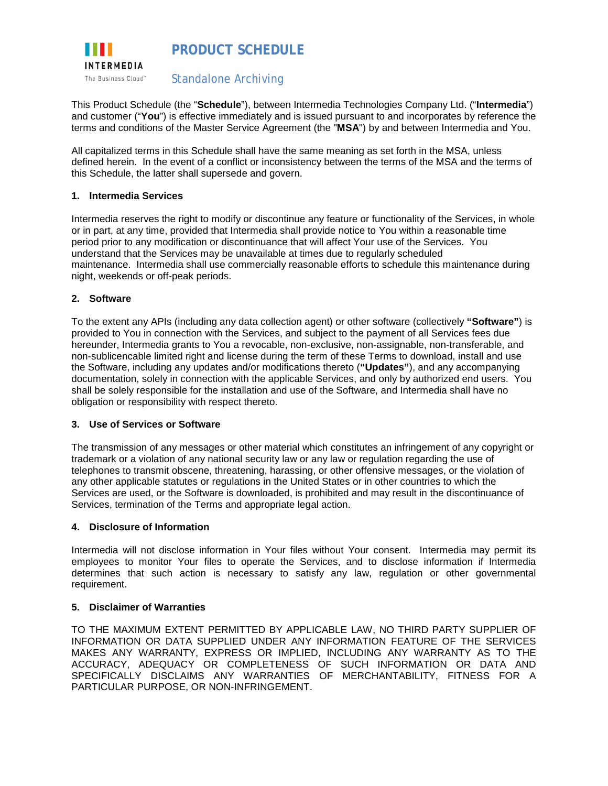

This Product Schedule (the "**Schedule**"), between Intermedia Technologies Company Ltd. ("**Intermedia**") and customer ("**You**") is effective immediately and is issued pursuant to and incorporates by reference the terms and conditions of the Master Service Agreement (the "**MSA**") by and between Intermedia and You.

All capitalized terms in this Schedule shall have the same meaning as set forth in the MSA, unless defined herein. In the event of a conflict or inconsistency between the terms of the MSA and the terms of this Schedule, the latter shall supersede and govern.

### **1. Intermedia Services**

Intermedia reserves the right to modify or discontinue any feature or functionality of the Services, in whole or in part, at any time, provided that Intermedia shall provide notice to You within a reasonable time period prior to any modification or discontinuance that will affect Your use of the Services. You understand that the Services may be unavailable at times due to regularly scheduled maintenance. Intermedia shall use commercially reasonable efforts to schedule this maintenance during night, weekends or off-peak periods.

### **2. Software**

To the extent any APIs (including any data collection agent) or other software (collectively **"Software"**) is provided to You in connection with the Services, and subject to the payment of all Services fees due hereunder, Intermedia grants to You a revocable, non-exclusive, non-assignable, non-transferable, and non-sublicencable limited right and license during the term of these Terms to download, install and use the Software, including any updates and/or modifications thereto (**"Updates"**), and any accompanying documentation, solely in connection with the applicable Services, and only by authorized end users. You shall be solely responsible for the installation and use of the Software, and Intermedia shall have no obligation or responsibility with respect thereto.

### **3. Use of Services or Software**

The transmission of any messages or other material which constitutes an infringement of any copyright or trademark or a violation of any national security law or any law or regulation regarding the use of telephones to transmit obscene, threatening, harassing, or other offensive messages, or the violation of any other applicable statutes or regulations in the United States or in other countries to which the Services are used, or the Software is downloaded, is prohibited and may result in the discontinuance of Services, termination of the Terms and appropriate legal action.

### **4. Disclosure of Information**

Intermedia will not disclose information in Your files without Your consent. Intermedia may permit its employees to monitor Your files to operate the Services, and to disclose information if Intermedia determines that such action is necessary to satisfy any law, regulation or other governmental requirement.

### **5. Disclaimer of Warranties**

TO THE MAXIMUM EXTENT PERMITTED BY APPLICABLE LAW, NO THIRD PARTY SUPPLIER OF INFORMATION OR DATA SUPPLIED UNDER ANY INFORMATION FEATURE OF THE SERVICES MAKES ANY WARRANTY, EXPRESS OR IMPLIED, INCLUDING ANY WARRANTY AS TO THE ACCURACY, ADEQUACY OR COMPLETENESS OF SUCH INFORMATION OR DATA AND SPECIFICALLY DISCLAIMS ANY WARRANTIES OF MERCHANTABILITY, FITNESS FOR A PARTICULAR PURPOSE, OR NON-INFRINGEMENT.